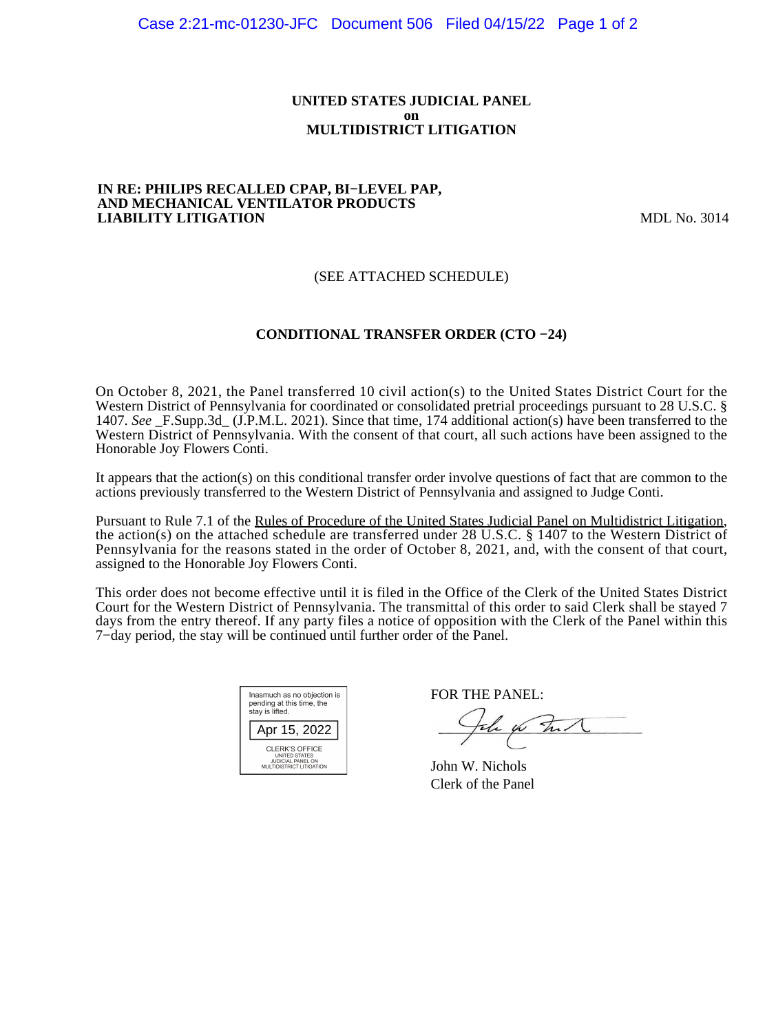### **UNITED STATES JUDICIAL PANEL on MULTIDISTRICT LITIGATION**

#### **IN RE: PHILIPS RECALLED CPAP, BI−LEVEL PAP, AND MECHANICAL VENTILATOR PRODUCTS LIABILITY LITIGATION** MDL No. 3014

## (SEE ATTACHED SCHEDULE)

## **CONDITIONAL TRANSFER ORDER (CTO −24)**

On October 8, 2021, the Panel transferred 10 civil action(s) to the United States District Court for the Western District of Pennsylvania for coordinated or consolidated pretrial proceedings pursuant to 28 U.S.C. § 1407. *See* \_F.Supp.3d\_ (J.P.M.L. 2021). Since that time, 174 additional action(s) have been transferred to the Western District of Pennsylvania. With the consent of that court, all such actions have been assigned to the Honorable Joy Flowers Conti.

It appears that the action(s) on this conditional transfer order involve questions of fact that are common to the actions previously transferred to the Western District of Pennsylvania and assigned to Judge Conti.

Pursuant to Rule 7.1 of the Rules of Procedure of the United States Judicial Panel on Multidistrict Litigation, the action(s) on the attached schedule are transferred under 28 U.S.C. § 1407 to the Western District of Pennsylvania for the reasons stated in the order of October 8, 2021, and, with the consent of that court, assigned to the Honorable Joy Flowers Conti.

This order does not become effective until it is filed in the Office of the Clerk of the United States District Court for the Western District of Pennsylvania. The transmittal of this order to said Clerk shall be stayed 7 days from the entry thereof. If any party files a notice of opposition with the Clerk of the Panel within this 7−day period, the stay will be continued until further order of the Panel.

| Inasmuch as no objection is<br>pending at this time, the<br>stay is lifted.      |
|----------------------------------------------------------------------------------|
| Apr 15, 2022                                                                     |
| CLERK'S OFFICE<br>UNITED STATES<br>JUDICIAL PANEL ON<br>MULTIDISTRICT LITIGATION |

FOR THE PANEL:

John for Full

John W. Nichols Clerk of the Panel